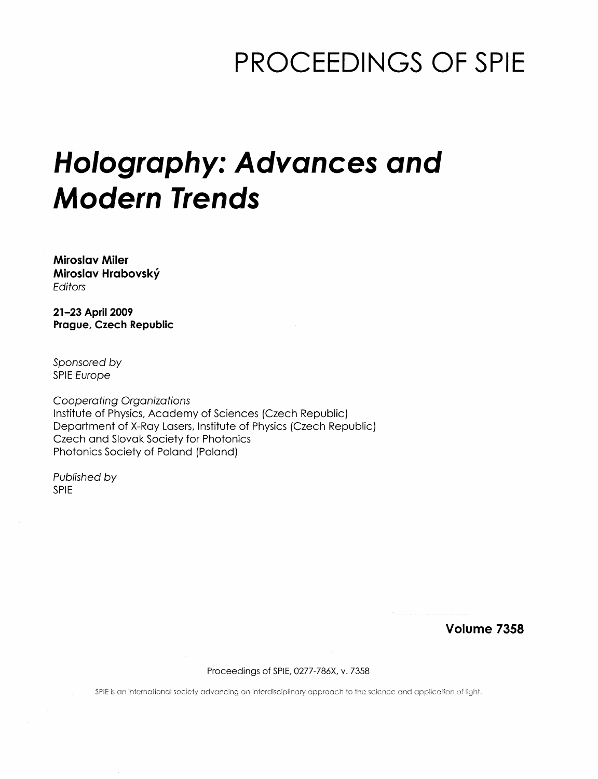## PROCEEDINGS OF SPIE

# Holography: Advances and Modern Trends

Miroslav Miler Miroslav Hrabovsky **Editors** 

21-23 April 2009 Prague, Czech Republic

Sponsored by SPIE Europe

Cooperating Organizations Institute of Physics, Academy of Sciences (Czech Republic) Department of X-Ray Lasers, Institute of Physics (Czech Republic) Czech and Slovak Society for Photonics Photonics Society of Poland (Poland)

Published by SPIE

Volume 7358

Proceedings of SPIE, 0277-786X, v. 7358

SPIE is an international society advancing an interdisciplinary approach to the science and application of light.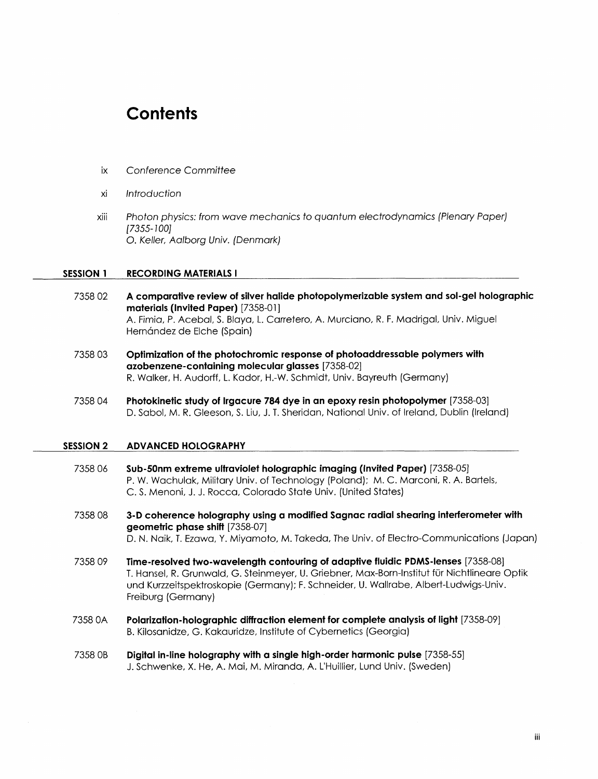### **Contents**

- ix Conference Committee
- Introduction xi
- Xlll Photon physics: from wove mechanics to quantum electrodynamics (Plenary Paper) [7355-100] O. Keller, Aalborg Univ. (Denmark)

#### SESSION 1 RECORDING MATERIALS I

- <sup>7358</sup> <sup>02</sup> A comparative review of silver halide photopolymerizable system and sol-gel holographic materials (Invited Paper) [7358-01] A. Fimia, P. Acebal, S. Blaya, L. Carretero, A. Murciano, R. F. Madrigal, Univ. Miguel Hernández de Elche (Spain)
- 7358 03 Optimization of the photochromic response of photoaddressable polymers with azobenzene-containing molecular glasses [7358-02] R. Walker, H. Audorff, L. Kador, H.-W. Schmidt, Univ. Bayreuth (Germany)
- 7358 04 Photokinetic study of Irgacure 784 dye in an epoxy resin photopolymer [7358-03] D. Sabol, M. R. Gleeson, S. Liu, J. T. Sheridan, National Univ. of Ireland, Dublin (Ireland)

#### SESSION <sup>2</sup> ADVANCED HOLOGRAPHY

7358 06 Sub-50nm extreme ultraviolet holographic imaging (Invited Paper) [7358-05] P. W. Wachulak, Military Univ. of Technology (Poland); M. C. Marconi, R. A. Bartels, C. S. Menoni, J. J. Rocca, Colorado State Univ. (United States)

7358 08 3-D coherence holography using a modified Sagnac radial shearing interferometer with geometric phase shift [7358-07] D. N. Naik, T. Ezawa, Y. Miyamoto, M. Takeda, The Univ. of Electro-Communications (Japan)

- 7358 09 Time-resolved two-wavelength contouring of adaptive fluidic PDMS-lenses [7358-08] T. Hansel, R. Grunwald, G. Steinmeyer, U. Griebner, Max-Born-lnstitut fur Nichtlineare Optik und Kurzzeitspektroskopie (Germany); F. Schneider, U. Wallrabe, Albert-Ludwigs-Univ. Freiburg (Germany)
- 7358 OA Polarization-holographic diffraction element for complete analysis of light [7358-09] B. Kilosanidze, G. Kakauridze, Institute of Cybernetics (Georgia)
- 7358 0B Digital in-line holography with a single high-order harmonic pulse [7358-55] J. Schwenke, X. He, A. Mai, M. Miranda, A. L'Huillier, Lund Univ. (Sweden)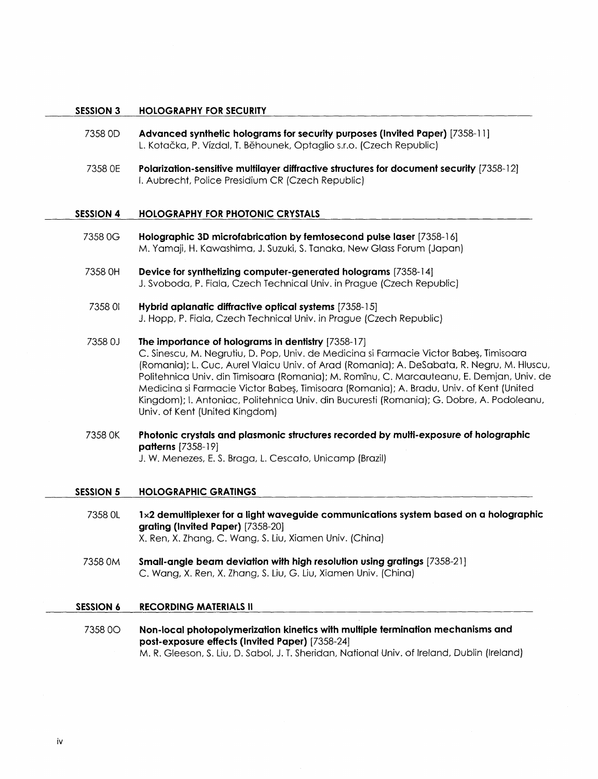#### SESSION 3 HOLOGRAPHY FOR SECURITY

- 7358 OD Advanced synthetic holograms for security purposes (Invited Paper) [7358-11 ] L. Kotačka, P. Vízdal, T. Běhounek, Optaglio s.r.o. (Czech Republic)
- 7358 OE Polarization-sensitive multilayer diffractive structures for document security [7358-12] I. Aubrecht, Police Presidium CR (Czech Republic)

#### SESSION 4 HOLOGRAPHY FOR PHOTONIC CRYSTALS

- <sup>7358</sup> OG Holographic 3D microfabrication by femtosecond pulse laser [7358-16] M. Yarmaji, H. Kawashima, J. Suzuki, S. Tanaka, New Glass Forum (Japan)
- 7358 OH Device for synthetizing computer-generated holograms [7358-14] J. Svoboda, P. Fiala, Czech Technical Univ. in Prague (Czech Republic)
- 7358 01 Hybrid aplanatic diffractive optical systems [7358-15] J. Hopp, P. Fiala, Czech Technical Univ. in Prague (Czech Republic)
- 7358 0J The importance of holograms in dentistry [7358-17] C. Sinescu, M. Negrutiu, D. Pop, Univ. de Medicina si Farmacie Victor Babe§, Timisoara (Romania); L. Cue, Aurel Vlaicu Univ. of Arad (Romania); A. DeSabata, R. Negru, M. Hluscu, Politehnica Univ. din Timisoara (Romania); M. Romînu, C. Marcauteanu, E. Demjan, Univ. de Medicina si Farmacie Victor Babe§, Timisoara (Romania); A. Bradu, Univ. of Kent (United Kingdom); I. Antoniac, Politehnica Univ. din Bucuresti (Romania); G. Dobre, A. Podoleanu, Univ. of Kent (United Kingdom)
- 7358 OK Photonic crystals and plasmonic structures recorded by multi-exposure of holographic patterns [7358-19] J. W. Menezes, E. S. Braga, L. Cescato, Unicamp (Brazil)

#### SESSION 5 HOLOGRAPHIC GRATINGS

- 7358 0L 1x2 demultiplexer for a light waveguide communications system based on a holographic grating (Invited Paper) [7358-20] X. Ren, X. Zhang, C. Wang, S. Liu, Xiamen Univ. (China)
- <sup>7358</sup> 0M Small-angle beam deviation with high resolution using gratings [7358-21 ] C. Wang, X. Ren, X. Zhang, S. Liu, G. Liu, Xiamen Univ. (China)

#### SESSION 6 RECORDING MATERIALS II

<sup>7358</sup> 0O Non-local photopolymerization kinetics with multiple termination mechanisms and post-exposure effects (Invited Paper) [7358-24] M. R. Gleeson, S. Liu, D. Sabol, J. T. Sheridan, National Univ. of Ireland, Dublin (Ireland)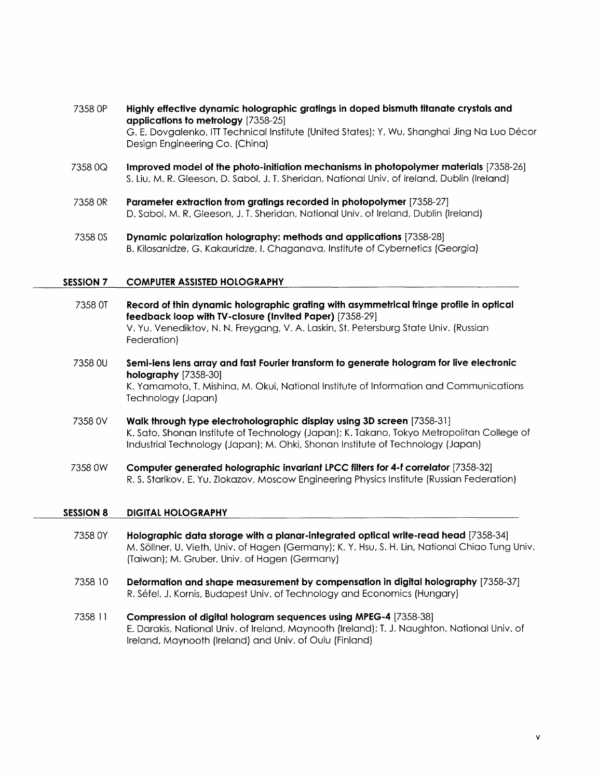- 7358 OP Highly effective dynamic holographic gratings in doped bismuth titanate crystals and applications to metrology [7358-25] G. E. Dovgalenko, ITT Technical Institute (United States); Y. Wu, Shanghai Jing Na Luo Decor Design Engineering Co. (China)
- 7358 OQ Improved model of the photo-initiation mechanisms in photopolymer materials [7358-26] S. Liu, M. R. Gleeson, D. Sabol, J. T. Sheridan, National Univ. of Ireland, Dublin (Ireland)
- 7358 OR Parameter extraction from gratings recorded in photopolymer [7358-27] D. Sabol, M. R. Gleeson, J. T. Sheridan, National Univ. of Ireland, Dublin (Ireland)
- 7358 OS Dynamic polarization holography: methods and applications [7358-28] B. Kilosanidze, G. Kakauridze, I. Chaganava, Institute of Cybernetics (Georgia)

#### SESSION <sup>7</sup> COMPUTER ASSISTED HOLOGRAPHY

- 7358 OT Record of thin dynamic holographic grating with asymmetrical fringe profile in optical feedback loop with TV-closure (Invited Paper) [7358-29] V. Yu. Venediktov, N. N. Freygang, V. A. Laskin, St. Petersburg State Univ. (Russian Federation)
- 7358 OU Semi-lens lens array and fast Fourier transform to generate hologram for live electronic holography [7358-30] K. Yamamoto, T. Mishina, M. Okui, National Institute of Information and Communications Technology (Japan)
- 7358 0V Walk through type electroholographic display using 3D screen [7358-31 ] K. Sato, Shonan Institute of Technology (Japan); K. Takano, Tokyo Metropolitan College of Industrial Technology (Japan); M. Ohki, Shonan Institute of Technology (Japan)
- <sup>7358</sup> 0W Computer generated holographic invariant LPCC filters for 4-f correlator [7358-32] R. S. Starikov, E. Yu. Zlokazov, Moscow Engineering Physics Institute (Russian Federation)

#### SESSION <sup>8</sup> DIGITAL HOLOGRAPHY

- 7358 0Y Holographic data storage with a planar-integrated optical write-read head [7358-34] M. Sollner, U. Vieth, Univ. of Hagen (Germany); K. Y. Hsu, S. H. Lin, National Chiao Tung Univ. (Taiwan); M. Gruber, Univ. of Hagen (Germany)
- 7358 <sup>10</sup> Deformation and shape measurement by compensation in digital holography [7358-37] R. Sefel, J. Kornis, Budapest Univ. of Technology and Economics (Hungary)
- 7358 <sup>11</sup> Compression of digital hologram sequences using MPEG-4 [7358-38] E. Darakis, National Univ. of Ireland, Maynooth (Ireland); T. J. Naughton, National Univ. of Ireland, Maynooth (Ireland) and Univ. of Oulu (Finland)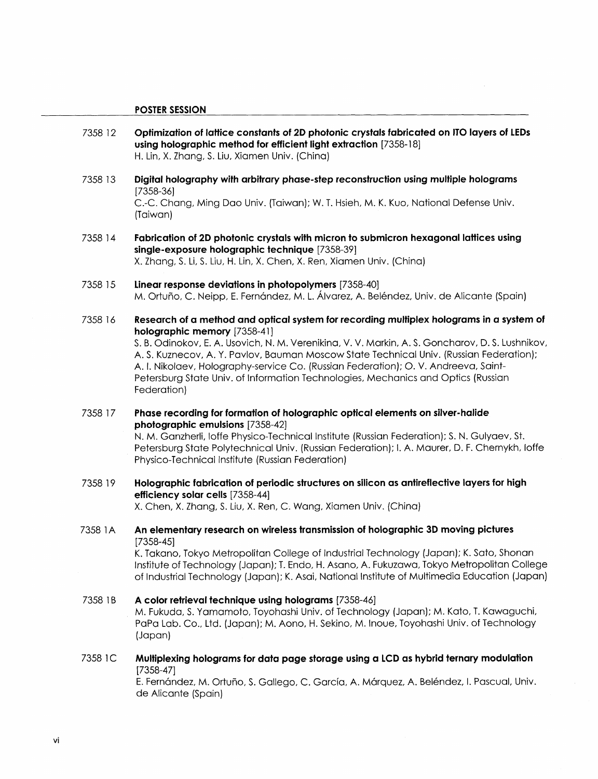#### POSTER SESSION

- 7358 <sup>12</sup> Optimization of lattice constants of 2D photonic crystals fabricated on ITO layers of LEDs using holographic method for efficient light extraction [7358-18] H. Lin, X. Zhang, S. Liu, Xiamen Univ. (China)
- 7358 13 Digital holography with arbitrary phase-step reconstruction using multiple holograms [7358-36] C.-C. Chang, Ming Dao Univ. (Taiwan); W. T. Hsieh, M. K. Kuo, National Defense Univ. (Taiwan)
- 7358 14 Fabrication of 2D photonic crystals with micron to submicron hexagonal lattices using single-exposure holographic technique [7358-39] X. Zhang, S. Li, S. Liu, H. Lin, X. Chen, X. Ren, Xiamen Univ. (China)
- 7358 15 Linear response deviations in photopolymers [7358-40] M. Ortuño, C. Neipp, E. Fernández, M. L. Álvarez, A. Beléndez, Univ. de Alicante (Spain)
- 7358 <sup>16</sup> Research of a method and optical system for recording multiplex holograms in a system of holographic memory [7358-41] S. B. Odinokov, E. A. Usovich, N. M. Verenikina, V. V. Markin, A. S. Goncharov, D. S. Lushnikov, A. S. Kuznecov, A. Y. Pavlov, Bauman Moscow State Technical Univ. (Russian Federation); A. I. Nikolaev, Holography-service Co. (Russian Federation); O. V. Andreeva, Saint-Petersburg State Univ. of Information Technologies, Mechanics and Optics (Russian Federation)
- 7358 17 Phase recording for formation of holographic optical elements on silver-halide photographic emulsions [7358-42]

N. M. Ganzherli, loffe Physico-Technical Institute (Russian Federation); S. N. Gulyaev, St. Petersburg State Polytechnical Univ. (Russian Federation); I. A. Maurer, D. F. Chernykh, loffe Physico-Technical Institute (Russian Federation)

of Industrial Technology (Japan); K. Asai, National Institute of Multimedia Education (Japan)

- 7358 19 Holographic fabrication of periodic structures on silicon as antireflective layers for high efficiency solar cells [7358-44] X. Chen, X. Zhang, S. Liu, X. Ren, C. Wang, Xiamen Univ. (China)
- 7358 1A An elementary research on wireless transmission of holographic 3D moving pictures [7358-45] K. Takano, Tokyo Metropolitan College of Industrial Technology (Japan); K. Sato, Shonan Institute of Technology (Japan); T. Endo, H. Asano, A. Fukuzawa, Tokyo Metropolitan College

7358 1B A color retrieval technique using holograms [7358-46] M. Fukuda, S. Yamamoto, Toyohashi Univ. of Technology (Japan); M. Kato, T. Kawaguchi, PaPa Lab. Co., Ltd. (Japan); M. Aono, H. Sekino, M. Inoue, Toyohashi Univ. of Technology (Japan)

<sup>7358</sup> 1C Multiplexing holograms for data page storage using a LCD as hybrid ternary modulation [7358-47] E. Fernández, M. Ortuño, S. Gallego, C. García, A. Márquez, A. Beléndez, I. Pascual, Univ. de Alicante (Spain)